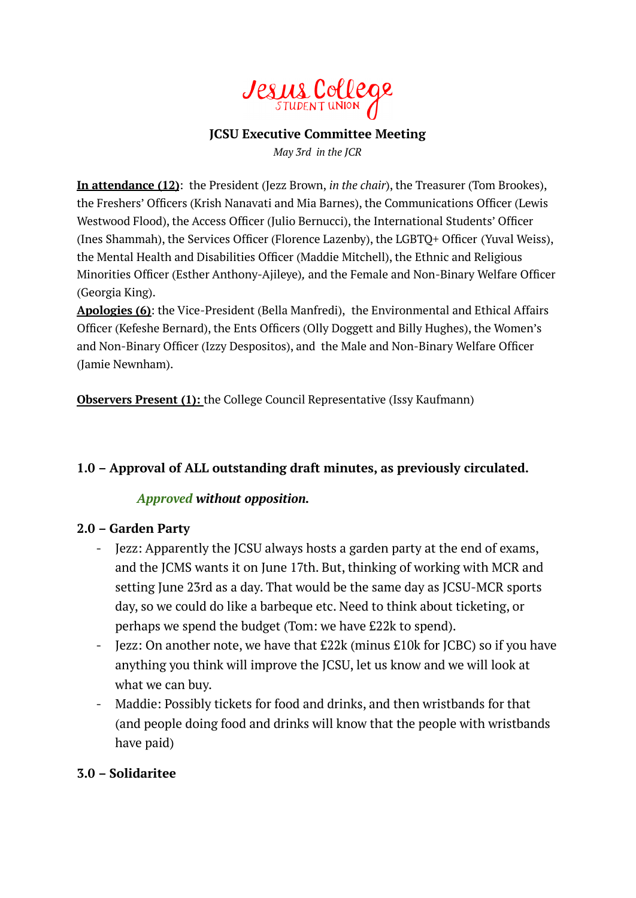

#### **JCSU Executive Committee Meeting**

*May 3rd in the JCR*

**In attendance (12)**: the President (Jezz Brown, *in the chair*), the Treasurer (Tom Brookes), the Freshers' Officers (Krish Nanavati and Mia Barnes), the Communications Officer (Lewis Westwood Flood), the Access Officer (Julio Bernucci), the International Students' Officer (Ines Shammah), the Services Officer (Florence Lazenby), the LGBTQ+ Officer (Yuval Weiss), the Mental Health and Disabilities Officer (Maddie Mitchell), the Ethnic and Religious Minorities Officer (Esther Anthony-Ajileye)*,* and the Female and Non-Binary Welfare Officer (Georgia King).

**Apologies (6)**: the Vice-President (Bella Manfredi), the Environmental and Ethical Affairs Officer (Kefeshe Bernard), the Ents Officers (Olly Doggett and Billy Hughes), the Women's and Non-Binary Officer (Izzy Despositos), and the Male and Non-Binary Welfare Officer (Jamie Newnham).

**Observers Present (1):** the College Council Representative (Issy Kaufmann)

# **1.0 – Approval of ALL outstanding draft minutes, as previously circulated.**

#### *Approved without opposition.*

#### **2.0 – Garden Party**

- Jezz: Apparently the JCSU always hosts a garden party at the end of exams, and the JCMS wants it on June 17th. But, thinking of working with MCR and setting June 23rd as a day. That would be the same day as JCSU-MCR sports day, so we could do like a barbeque etc. Need to think about ticketing, or perhaps we spend the budget (Tom: we have £22k to spend).
- Jezz: On another note, we have that £22k (minus £10k for JCBC) so if you have anything you think will improve the JCSU, let us know and we will look at what we can buy.
- Maddie: Possibly tickets for food and drinks, and then wristbands for that (and people doing food and drinks will know that the people with wristbands have paid)

# **3.0 – Solidaritee**